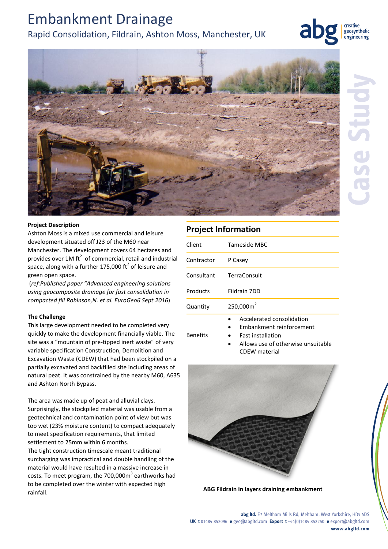# Embankment Drainage

## Rapid Consolidation, Fildrain, Ashton Moss, Manchester, UK



geosynthetic engineering



### **Project Description**

Ashton Moss is a mixed use commercial and leisure development situated off J23 of the M60 near Manchester. The development covers 64 hectares and provides over 1M ft<sup>2</sup> of commercial, retail and industrial space, along with a further 175,000 ft<sup>2</sup> of leisure and green open space.

(*ref:Published paper "Advanced engineering solutions using geocomposite drainage for fast consolidation in compacted fill Robinson,N. et al. EuroGeo6 Sept 2016*)

#### **The Challenge**

This large development needed to be completed very quickly to make the development financially viable. The site was a "mountain of pre-tipped inert waste" of very variable specification Construction, Demolition and Excavation Waste (CDEW) that had been stockpiled on a partially excavated and backfilled site including areas of natural peat. It was constrained by the nearby M60, A635 and Ashton North Bypass.

The area was made up of peat and alluvial clays. Surprisingly, the stockpiled material was usable from a geotechnical and contamination point of view but was too wet (23% moisture content) to compact adequately to meet specification requirements, that limited settlement to 25mm within 6 months.

The tight construction timescale meant traditional surcharging was impractical and double handling of the material would have resulted in a massive increase in costs. To meet program, the 700,000 $m^3$  earthworks had to be completed over the winter with expected high rainfall. **ABG Fildrain in layers draining embankment**

## **Project Information**

Benefits

| Client     | Tameside MBC              |
|------------|---------------------------|
| Contractor | P Casey                   |
| Consultant | <b>TerraConsult</b>       |
| Products   | Fildrain 7DD              |
| Quantity   | 250,000m <sup>2</sup>     |
|            | Accelerated consolidation |

- Embankment reinforcement
- Fast installation
	- Allows use of otherwise unsuitable CDEW material